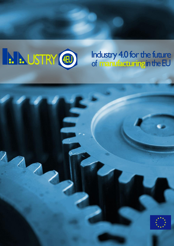

## Industry 4.0 for the future<br>of manufacturing in the EU

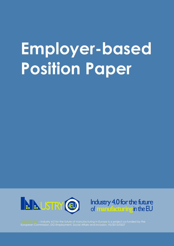## **Employer-based Position Paper**





European Commission, DG Employment, Social Affairs and Inclusion, VS/2015/0327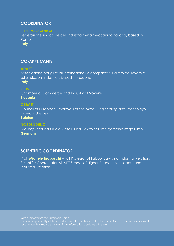### **COORDINATOR**

#### **FEDERMECCANICA**

Federazione sindacale dell'industria metalmeccanica italiana, based in Rome

**Italy** 

### **CO-APPLICANTS**

#### **ADAPT**

Associazione per gli studi internazionali e comparati sul diritto del lavoro e sulle relazioni industriali, based in Modena **Italy**

#### **CCIS**

Chamber of Commerce and Industry of Slovenia **Slovenia**

#### **CEEMET**

Council of European Employers of the Metal, Engineering and Technologybased Industries

**Belgium**

#### **NORDBILDUNG**

Bildungsverbund für die Metall- und Elektroindustrie gemeinnützige GmbH **Germany**

### **SCIENTIFIC COORDINATOR**

Prof. **Michele Tiraboschi** – Full Professor of Labour Law and Industrial Relations, Scientific Coordinator ADAPT School of Higher Education in Labour and Industrial Relations

With support from the European Union

The sole responsibility of this report lies with the author and the European Commission is not responsible for any use that may be made of the information contained therein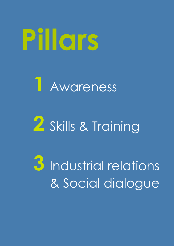# **Pillars**

## **1** Awareness

## **2** Skills & Training

**3** Industrial relations & Social dialogue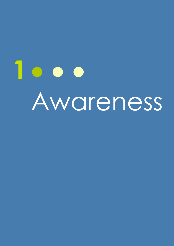# **1** Awareness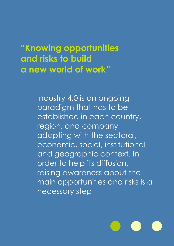**"Knowing opportunities and risks to build a new world of work"**

> Industry 4.0 is an ongoing paradigm that has to be established in each country, region, and company, adapting with the sectoral, economic, social, institutional and geographic context. In order to help its diffusion, raising awareness about the main opportunities and risks is a necessary step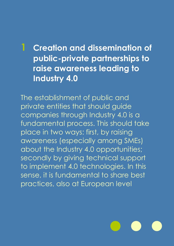### **1 Creation and dissemination of public-private partnerships to raise awareness leading to Industry 4.0**

The establishment of public and private entities that should guide companies through Industry 4.0 is a fundamental process. This should take place in two ways: first, by raising awareness (especially among SMEs) about the Industry 4.0 opportunities; secondly by giving technical support to implement 4.0 technologies. In this sense, it is fundamental to share best practices, also at European level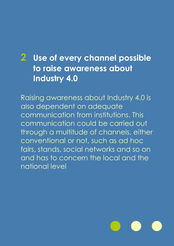### **2 Use of every channel possible to raise awareness about Industry 4.0**

Raising awareness about Industry 4.0 is also dependent on adequate communication from institutions. This communication could be carried out through a multitude of channels, either conventional or not, such as ad hoc fairs, stands, social networks and so on and has to concern the local and the national level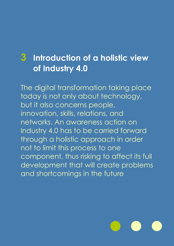### **3 Introduction of a holistic view of Industry 4.0**

The digital transformation taking place today is not only about technology, but it also concerns people, innovation, skills, relations, and networks. An awareness action on Industry 4.0 has to be carried forward through a holistic approach in order not to limit this process to one component, thus risking to affect its full development that will create problems and shortcomings in the future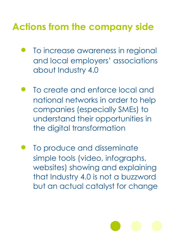## **Actions from the company side**

- To increase awareness in regional and local employers' associations about Industry 4.0
- To create and enforce local and national networks in order to help companies (especially SMEs) to understand their opportunities in the digital transformation
- To produce and disseminate simple tools (video, infographs, websites) showing and explaining that Industry 4.0 is not a buzzword but an actual catalyst for change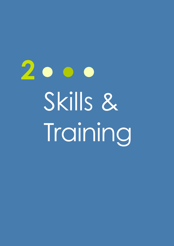2000 Skills & Training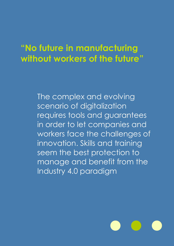### **"No future in manufacturing without workers of the future"**

The complex and evolving scenario of digitalization requires tools and guarantees in order to let companies and workers face the challenges of innovation. Skills and training seem the best protection to manage and benefit from the Industry 4.0 paradigm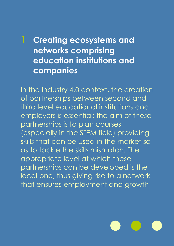### **1 Creating ecosystems and networks comprising education institutions and companies**

In the Industry 4.0 context, the creation of partnerships between second and third level educational institutions and employers is essential: the aim of these partnerships is to plan courses (especially in the STEM field) providing skills that can be used in the market so as to tackle the skills mismatch. The appropriate level at which these partnerships can be developed is the local one, thus giving rise to a network that ensures employment and growth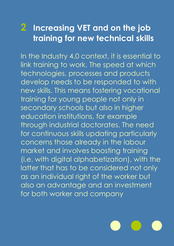### **2 Increasing VET and on the job training for new technical skills**

In the Industry 4.0 context, it is essential to link training to work. The speed at which technologies, processes and products develop needs to be responded to with new skills. This means fostering vocational training for young people not only in secondary schools but also in higher education institutions, for example through industrial doctorates. The need for continuous skills updating particularly concerns those already in the labour market and involves boosting training (i.e. with digital alphabetization), with the latter that has to be considered not only as an individual right of the worker but also an advantage and an investment for both worker and company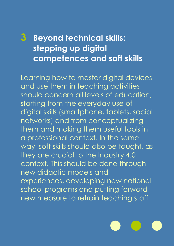### **3 Beyond technical skills: stepping up digital competences and soft skills**

Learning how to master digital devices and use them in teaching activities should concern all levels of education, starting from the everyday use of digital skills (smartphone, tablets, social networks) and from conceptualizing them and making them useful tools in a professional context. In the same way, soft skills should also be taught, as they are crucial to the Industry 4.0 context. This should be done through new didactic models and experiences, developing new national school programs and putting forward new measure to retrain teaching staff

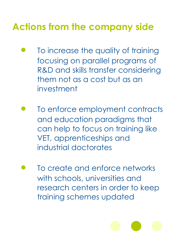## **Actions from the company side**

- To increase the quality of training focusing on parallel programs of R&D and skills transfer considering them not as a cost but as an investment
- To enforce employment contracts and education paradigms that can help to focus on training like VET, apprenticeships and industrial doctorates
- To create and enforce networks with schools, universities and research centers in order to keep training schemes updated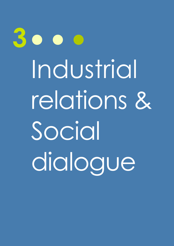**3** Industrial relations & Social dialogue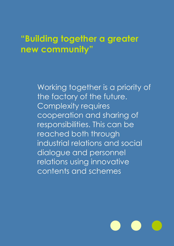### **"Building together a greater new community"**

Working together is a priority of the factory of the future. Complexity requires cooperation and sharing of responsibilities. This can be reached both through industrial relations and social dialogue and personnel relations using innovative contents and schemes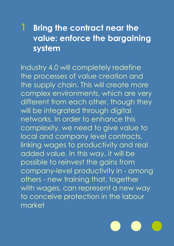### **1 Bring the contract near the value: enforce the bargaining system**

Industry 4.0 will completely redefine the processes of value creation and the supply chain. This will create more complex environments, which are very different from each other, though they will be integrated through digital networks. In order to enhance this complexity, we need to give value to local and company level contracts, linking wages to productivity and real added value. In this way, it will be possible to reinvest the gains from company-level productivity in - among others - new training that, together with wages, can represent a new way to conceive protection in the labour market

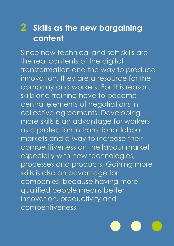### **2 Skills as the new bargaining content**

Since new technical and soft skills are the real contents of the digital transformation and the way to produce innovation, they are a resource for the company and workers. For this reason, skills and training have to become central elements of negotiations in collective agreements. Developing more skills is an advantage for workers as a protection in transitional labour markets and a way to increase their competitiveness on the labour market especially with new technologies, processes and products. Gaining more skills is also an advantage for companies, because having more qualified people means better innovation, productivity and competitiveness

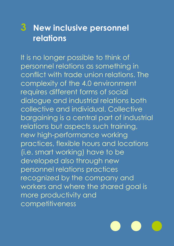### **3 New inclusive personnel relations**

It is no longer possible to think of personnel relations as something in conflict with trade union relations. The complexity of the 4.0 environment requires different forms of social dialogue and industrial relations both collective and individual. Collective bargaining is a central part of industrial relations but aspects such training, new high-performance working practices, flexible hours and locations (i.e. smart working) have to be developed also through new personnel relations practices recognized by the company and workers and where the shared goal is more productivity and competitiveness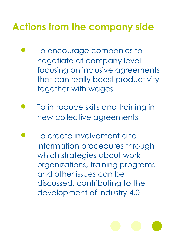## **Actions from the company side**

- To encourage companies to negotiate at company level focusing on inclusive agreements that can really boost productivity together with wages
- To introduce skills and training in new collective agreements
- To create involvement and information procedures through which strategies about work organizations, training programs and other issues can be discussed, contributing to the development of Industry 4.0